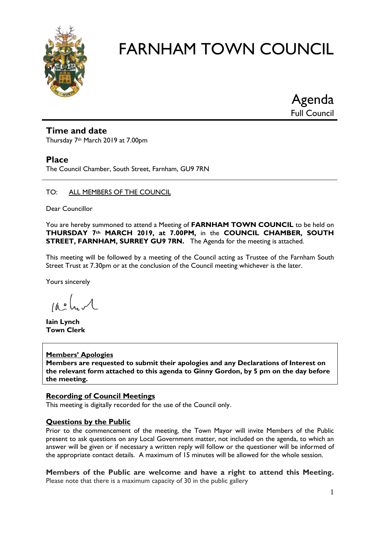

Agenda Full Council

#### **Time and date**

Thursday 7th March 2019 at 7.00pm

#### **Place**

The Council Chamber, South Street, Farnham, GU9 7RN

#### TO: ALL MEMBERS OF THE COUNCIL

Dear Councillor

You are hereby summoned to attend a Meeting of **FARNHAM TOWN COUNCIL** to be held on **THURSDAY 7th MARCH 2019, at 7.00PM,** in the **COUNCIL CHAMBER, SOUTH STREET, FARNHAM, SURREY GU9 7RN.** The Agenda for the meeting is attached.

This meeting will be followed by a meeting of the Council acting as Trustee of the Farnham South Street Trust at 7.30pm or at the conclusion of the Council meeting whichever is the later.

Yours sincerely

 $10.4$ 

**Iain Lynch Town Clerk**

#### **Members' Apologies**

**Members are requested to submit their apologies and any Declarations of Interest on the relevant form attached to this agenda to Ginny Gordon, by 5 pm on the day before the meeting.**

#### **Recording of Council Meetings**

This meeting is digitally recorded for the use of the Council only.

#### **Questions by the Public**

Prior to the commencement of the meeting, the Town Mayor will invite Members of the Public present to ask questions on any Local Government matter, not included on the agenda, to which an answer will be given or if necessary a written reply will follow or the questioner will be informed of the appropriate contact details. A maximum of 15 minutes will be allowed for the whole session.

**Members of the Public are welcome and have a right to attend this Meeting.**  Please note that there is a maximum capacity of 30 in the public gallery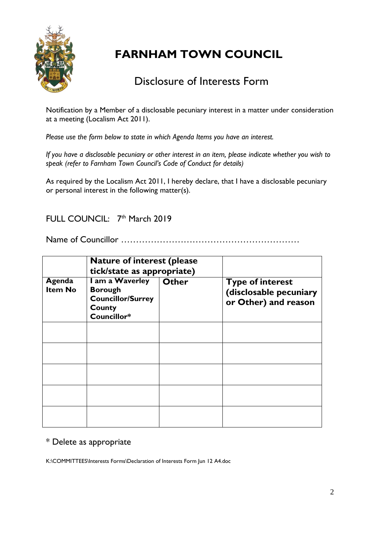

# Disclosure of Interests Form

Notification by a Member of a disclosable pecuniary interest in a matter under consideration at a meeting (Localism Act 2011).

*Please use the form below to state in which Agenda Items you have an interest.* 

*If you have a disclosable pecuniary or other interest in an item, please indicate whether you wish to speak (refer to Farnham Town Council's Code of Conduct for details)*

As required by the Localism Act 2011, I hereby declare, that I have a disclosable pecuniary or personal interest in the following matter(s).

FULL COUNCIL: 7<sup>th</sup> March 2019

Name of Councillor ……………………………………………………

|                          | <b>Nature of interest (please)</b><br>tick/state as appropriate)                       |              |                                                                           |
|--------------------------|----------------------------------------------------------------------------------------|--------------|---------------------------------------------------------------------------|
| Agenda<br><b>Item No</b> | I am a Waverley<br><b>Borough</b><br><b>Councillor/Surrey</b><br>County<br>Councillor* | <b>Other</b> | <b>Type of interest</b><br>(disclosable pecuniary<br>or Other) and reason |
|                          |                                                                                        |              |                                                                           |
|                          |                                                                                        |              |                                                                           |
|                          |                                                                                        |              |                                                                           |
|                          |                                                                                        |              |                                                                           |
|                          |                                                                                        |              |                                                                           |

#### \* Delete as appropriate

K:\COMMITTEES\Interests Forms\Declaration of Interests Form Jun 12 A4.doc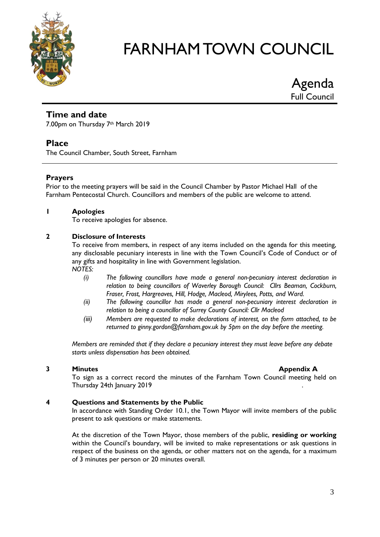

Agenda Full Council

## **Time and date**

7.00pm on Thursday 7th March 2019

## **Place**

The Council Chamber, South Street, Farnham

#### **Prayers**

Prior to the meeting prayers will be said in the Council Chamber by Pastor Michael Hall of the Farnham Pentecostal Church. Councillors and members of the public are welcome to attend.

#### **1 Apologies**

To receive apologies for absence.

#### **2 Disclosure of Interests**

To receive from members, in respect of any items included on the agenda for this meeting, any disclosable pecuniary interests in line with the Town Council's Code of Conduct or of any gifts and hospitality in line with Government legislation. *NOTES:*

- *(i) The following councillors have made a general non-pecuniary interest declaration in relation to being councillors of Waverley Borough Council: Cllrs Beaman, Cockburn, Fraser, Frost, Hargreaves, Hill, Hodge, Macleod, Mirylees, Potts, and Ward.*
- *(ii) The following councillor has made a general non-pecuniary interest declaration in relation to being a councillor of Surrey County Council: Cllr Macleod*
- *(iii) Members are requested to make declarations of interest, on the form attached, to be returned to ginny.gordon@farnham.gov.uk by 5pm on the day before the meeting.*

*Members are reminded that if they declare a pecuniary interest they must leave before any debate starts unless dispensation has been obtained.*

#### **3 Minutes Appendix A**

To sign as a correct record the minutes of the Farnham Town Council meeting held on Thursday 24th January 2019 .

#### **4 Questions and Statements by the Public**

In accordance with Standing Order 10.1, the Town Mayor will invite members of the public present to ask questions or make statements.

At the discretion of the Town Mayor, those members of the public, **residing or working** within the Council's boundary, will be invited to make representations or ask questions in respect of the business on the agenda, or other matters not on the agenda, for a maximum of 3 minutes per person or 20 minutes overall.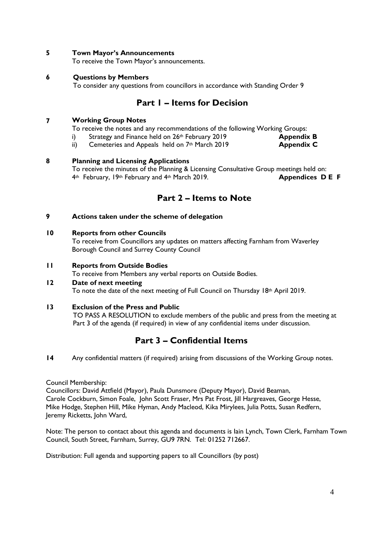#### **5 Town Mayor's Announcements**

To receive the Town Mayor's announcements.

#### **6 Questions by Members**

To consider any questions from councillors in accordance with Standing Order 9

### **Part 1 – Items for Decision**

#### **7 Working Group Notes**

To receive the notes and any recommendations of the following Working Groups:

- i) Strategy and Finance held on 26<sup>th</sup> February 2019 **Appendix B**
- ii) Cemeteries and Appeals held on 7<sup>th</sup> March 2019 **Appendix C**

#### **8 Planning and Licensing Applications**

To receive the minutes of the Planning & Licensing Consultative Group meetings held on: 4th February, 19th February and 4th March 2019. **Appendices D E F**

## **Part 2 – Items to Note**

#### **9 Actions taken under the scheme of delegation**

#### **10 Reports from other Councils**

To receive from Councillors any updates on matters affecting Farnham from Waverley Borough Council and Surrey County Council

#### **11 Reports from Outside Bodies**

To receive from Members any verbal reports on Outside Bodies.

#### **12 Date of next meeting**

To note the date of the next meeting of Full Council on Thursday 18<sup>th</sup> April 2019.

#### **13 Exclusion of the Press and Public**

TO PASS A RESOLUTION to exclude members of the public and press from the meeting at Part 3 of the agenda (if required) in view of any confidential items under discussion.

## **Part 3 – Confidential Items**

**14** Any confidential matters (if required) arising from discussions of the Working Group notes.

#### Council Membership:

Councillors: David Attfield (Mayor), Paula Dunsmore (Deputy Mayor), David Beaman, Carole Cockburn, Simon Foale, John Scott Fraser, Mrs Pat Frost, Jill Hargreaves, George Hesse, Mike Hodge, Stephen Hill, Mike Hyman, Andy Macleod, Kika Mirylees, Julia Potts, Susan Redfern, Jeremy Ricketts, John Ward,

Note: The person to contact about this agenda and documents is Iain Lynch, Town Clerk, Farnham Town Council, South Street, Farnham, Surrey, GU9 7RN. Tel: 01252 712667.

Distribution: Full agenda and supporting papers to all Councillors (by post)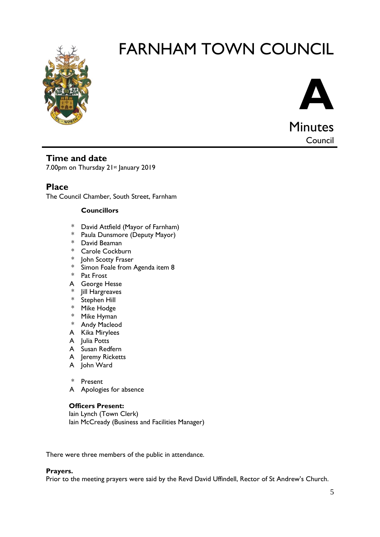



Minutes Council

## **Time and date**

7.00pm on Thursday 21st January 2019

# **Place**

The Council Chamber, South Street, Farnham

#### **Councillors**

- \* David Attfield (Mayor of Farnham)
- \* Paula Dunsmore (Deputy Mayor)
- \* David Beaman
- \* Carole Cockburn
- \* John Scotty Fraser
- \* Simon Foale from Agenda item 8
- \* Pat Frost
- A George Hesse
- \* Jill Hargreaves
- \* Stephen Hill
- \* Mike Hodge
- \* Mike Hyman
- \* Andy Macleod
- A Kika Mirylees
- A Julia Potts
- A Susan Redfern
- A Jeremy Ricketts
- A John Ward

\* Present

A Apologies for absence

#### **Officers Present:**

Iain Lynch (Town Clerk) Iain McCready (Business and Facilities Manager)

There were three members of the public in attendance.

#### **Prayers.**

Prior to the meeting prayers were said by the Revd David Uffindell, Rector of St Andrew's Church.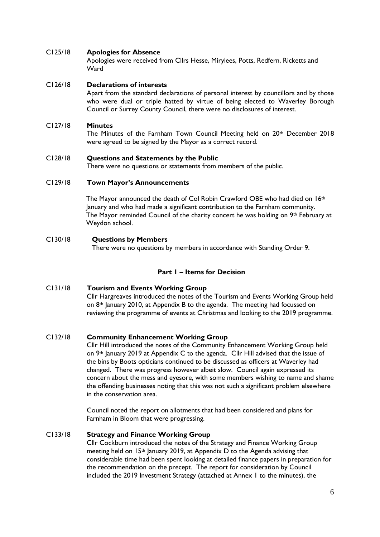#### C125/18 **Apologies for Absence**

Apologies were received from Cllrs Hesse, Mirylees, Potts, Redfern, Ricketts and W<sub>ard</sub>

#### C126/18 **Declarations of interests**

Apart from the standard declarations of personal interest by councillors and by those who were dual or triple hatted by virtue of being elected to Waverley Borough Council or Surrey County Council, there were no disclosures of interest.

#### C127/18 **Minutes**

The Minutes of the Farnham Town Council Meeting held on 20th December 2018 were agreed to be signed by the Mayor as a correct record.

#### C128/18 **Questions and Statements by the Public**

There were no questions or statements from members of the public.

#### C129/18 **Town Mayor's Announcements**

The Mayor announced the death of Col Robin Crawford OBE who had died on 16th January and who had made a significant contribution to the Farnham community. The Mayor reminded Council of the charity concert he was holding on  $9<sup>th</sup>$  February at Weydon school.

#### C130/18 **Questions by Members**

There were no questions by members in accordance with Standing Order 9.

#### **Part 1 – Items for Decision**

#### C131/18 **Tourism and Events Working Group**  Cllr Hargreaves introduced the notes of the Tourism and Events Working Group held on 8th January 2010, at Appendix B to the agenda. The meeting had focussed on reviewing the programme of events at Christmas and looking to the 2019 programme.

#### C132/18 **Community Enhancement Working Group**

Cllr Hill introduced the notes of the Community Enhancement Working Group held on 9th January 2019 at Appendix C to the agenda. Cllr Hill advised that the issue of the bins by Boots opticians continued to be discussed as officers at Waverley had changed. There was progress however albeit slow. Council again expressed its concern about the mess and eyesore, with some members wishing to name and shame the offending businesses noting that this was not such a significant problem elsewhere in the conservation area.

Council noted the report on allotments that had been considered and plans for Farnham in Bloom that were progressing.

#### C133/18 **Strategy and Finance Working Group**

Cllr Cockburn introduced the notes of the Strategy and Finance Working Group meeting held on 15th January 2019, at Appendix D to the Agenda advising that considerable time had been spent looking at detailed finance papers in preparation for the recommendation on the precept. The report for consideration by Council included the 2019 Investment Strategy (attached at Annex 1 to the minutes), the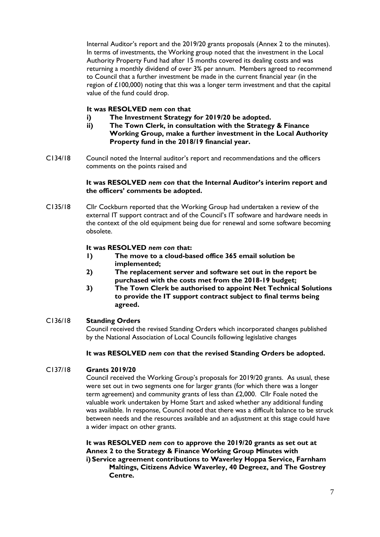Internal Auditor's report and the 2019/20 grants proposals (Annex 2 to the minutes). In terms of investments, the Working group noted that the investment in the Local Authority Property Fund had after 15 months covered its dealing costs and was returning a monthly dividend of over 3% per annum. Members agreed to recommend to Council that a further investment be made in the current financial year (in the region of £100,000) noting that this was a longer term investment and that the capital value of the fund could drop.

#### **It was RESOLVED** *nem con* **that**

- **i) The Investment Strategy for 2019/20 be adopted.**
- **ii) The Town Clerk, in consultation with the Strategy & Finance Working Group, make a further investment in the Local Authority Property fund in the 2018/19 financial year.**
- C134/18 Council noted the Internal auditor's report and recommendations and the officers comments on the points raised and

#### **It was RESOLVED** *nem con* **that the Internal Auditor's interim report and the officers' comments be adopted.**

C135/18 Cllr Cockburn reported that the Working Group had undertaken a review of the external IT support contract and of the Council's IT software and hardware needs in the context of the old equipment being due for renewal and some software becoming obsolete.

#### **It was RESOLVED** *nem con t***hat:**

- **1) The move to a cloud-based office 365 email solution be implemented;**
- **2) The replacement server and software set out in the report be purchased with the costs met from the 2018-19 budget;**
- **3) The Town Clerk be authorised to appoint Net Technical Solutions to provide the IT support contract subject to final terms being agreed.**

#### C136/18 **Standing Orders**

Council received the revised Standing Orders which incorporated changes published by the National Association of Local Councils following legislative changes

#### **It was RESOLVED** *nem con* **that the revised Standing Orders be adopted.**

#### C137/18 **Grants 2019/20**

Council received the Working Group's proposals for 2019/20 grants. As usual, these were set out in two segments one for larger grants (for which there was a longer term agreement) and community grants of less than £2,000. Cllr Foale noted the valuable work undertaken by Home Start and asked whether any additional funding was available. In response, Council noted that there was a difficult balance to be struck between needs and the resources available and an adjustment at this stage could have a wider impact on other grants.

**It was RESOLVED** *nem con* **to approve the 2019/20 grants as set out at Annex 2 to the Strategy & Finance Working Group Minutes with i) Service agreement contributions to Waverley Hoppa Service, Farnham Maltings, Citizens Advice Waverley, 40 Degreez, and The Gostrey Centre.**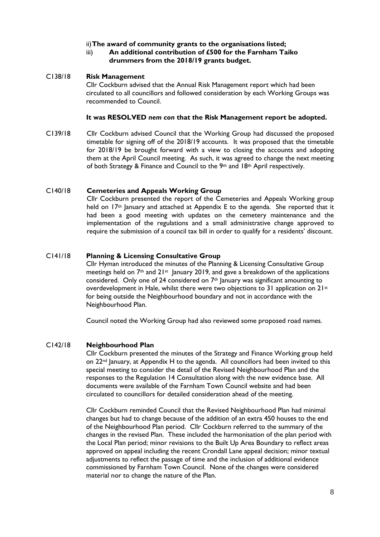#### ii)**The award of community grants to the organisations listed;**

#### iii) **An additional contribution of £500 for the Farnham Taiko drummers from the 2018/19 grants budget.**

#### C138/18 **Risk Management**

Cllr Cockburn advised that the Annual Risk Management report which had been circulated to all councillors and followed consideration by each Working Groups was recommended to Council.

#### **It was RESOLVED** *nem con* **that** *t***he Risk Management report be adopted.**

C139/18 Cllr Cockburn advised Council that the Working Group had discussed the proposed timetable for signing off of the 2018/19 accounts. It was proposed that the timetable for 2018/19 be brought forward with a view to closing the accounts and adopting them at the April Council meeting. As such, it was agreed to change the next meeting of both Strategy & Finance and Council to the 9<sup>th</sup> and 18<sup>th</sup> April respectively.

#### C140/18 **Cemeteries and Appeals Working Group**

Cllr Cockburn presented the report of the Cemeteries and Appeals Working group held on 17<sup>th</sup> January and attached at Appendix E to the agenda. She reported that it had been a good meeting with updates on the cemetery maintenance and the implementation of the regulations and a small administrative change approved to require the submission of a council tax bill in order to qualify for a residents' discount.

#### C141/18 **Planning & Licensing Consultative Group**

Cllr Hyman introduced the minutes of the Planning & Licensing Consultative Group meetings held on 7<sup>th</sup> and 21<sup>st</sup> January 2019, and gave a breakdown of the applications considered. Only one of 24 considered on 7th January was significant amounting to overdevelopment in Hale, whilst there were two objections to 31 application on  $21^{st}$ for being outside the Neighbourhood boundary and not in accordance with the Neighbourhood Plan.

Council noted the Working Group had also reviewed some proposed road names.

#### C142/18 **Neighbourhood Plan**

Cllr Cockburn presented the minutes of the Strategy and Finance Working group held on  $22<sup>nd</sup>$  January, at Appendix H to the agenda. All councillors had been invited to this special meeting to consider the detail of the Revised Neighbourhood Plan and the responses to the Regulation 14 Consultation along with the new evidence base. All documents were available of the Farnham Town Council website and had been circulated to councillors for detailed consideration ahead of the meeting.

Cllr Cockburn reminded Council that the Revised Neighbourhood Plan had minimal changes but had to change because of the addition of an extra 450 houses to the end of the Neighbourhood Plan period. Cllr Cockburn referred to the summary of the changes in the revised Plan. These included the harmonisation of the plan period with the Local Plan period; minor revisions to the Built Up Area Boundary to reflect areas approved on appeal including the recent Crondall Lane appeal decision; minor textual adjustments to reflect the passage of time and the inclusion of additional evidence commissioned by Farnham Town Council. None of the changes were considered material nor to change the nature of the Plan.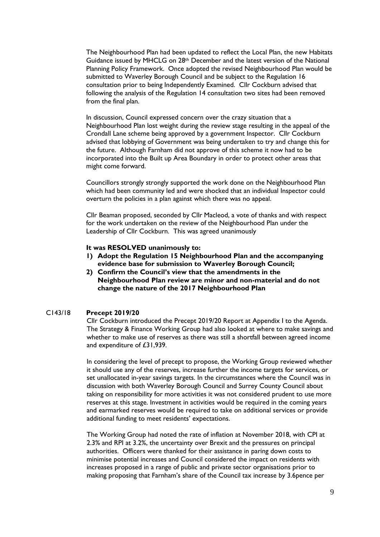The Neighbourhood Plan had been updated to reflect the Local Plan, the new Habitats Guidance issued by MHCLG on 28th December and the latest version of the National Planning Policy Framework. Once adopted the revised Neighbourhood Plan would be submitted to Waverley Borough Council and be subject to the Regulation 16 consultation prior to being Independently Examined. Cllr Cockburn advised that following the analysis of the Regulation 14 consultation two sites had been removed from the final plan.

In discussion, Council expressed concern over the crazy situation that a Neighbourhood Plan lost weight during the review stage resulting in the appeal of the Crondall Lane scheme being approved by a government Inspector. Cllr Cockburn advised that lobbying of Government was being undertaken to try and change this for the future. Although Farnham did not approve of this scheme it now had to be incorporated into the Built up Area Boundary in order to protect other areas that might come forward.

Councillors strongly strongly supported the work done on the Neighbourhood Plan which had been community led and were shocked that an individual Inspector could overturn the policies in a plan against which there was no appeal.

Cllr Beaman proposed, seconded by Cllr Macleod, a vote of thanks and with respect for the work undertaken on the review of the Neighbourhood Plan under the Leadership of Cllr Cockburn. This was agreed unanimously

#### **It was RESOLVED unanimously to:**

- **1) Adopt the Regulation 15 Neighbourhood Plan and the accompanying evidence base for submission to Waverley Borough Council;**
- **2) Confirm the Council's view that the amendments in the Neighbourhood Plan review are minor and non-material and do not change the nature of the 2017 Neighbourhood Plan**

#### C143/18 **Precept 2019/20**

Cllr Cockburn introduced the Precept 2019/20 Report at Appendix I to the Agenda. The Strategy & Finance Working Group had also looked at where to make savings and whether to make use of reserves as there was still a shortfall between agreed income and expenditure of £31,939.

In considering the level of precept to propose, the Working Group reviewed whether it should use any of the reserves, increase further the income targets for services, or set unallocated in-year savings targets. In the circumstances where the Council was in discussion with both Waverley Borough Council and Surrey County Council about taking on responsibility for more activities it was not considered prudent to use more reserves at this stage. Investment in activities would be required in the coming years and earmarked reserves would be required to take on additional services or provide additional funding to meet residents' expectations.

The Working Group had noted the rate of inflation at November 2018, with CPI at 2.3% and RPI at 3.2%, the uncertainty over Brexit and the pressures on principal authorities. Officers were thanked for their assistance in paring down costs to minimise potential increases and Council considered the impact on residents with increases proposed in a range of public and private sector organisations prior to making proposing that Farnham's share of the Council tax increase by 3.6pence per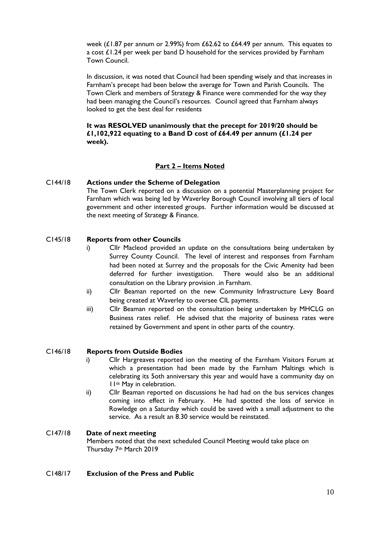week ( $£1.87$  per annum or 2.99%) from  $£62.62$  to  $£64.49$  per annum. This equates to a cost £1.24 per week per band D household for the services provided by Farnham Town Council.

In discussion, it was noted that Council had been spending wisely and that increases in Farnham's precept had been below the average for Town and Parish Councils. The Town Clerk and members of Strategy & Finance were commended for the way they had been managing the Council's resources. Council agreed that Farnham always looked to get the best deal for residents

**It was RESOLVED unanimously that the precept for 2019/20 should be £1,102,922 equating to a Band D cost of £64.49 per annum (£1.24 per week).**

#### **Part 2 – Items Noted**

#### C144/18 **Actions under the Scheme of Delegation**

The Town Clerk reported on a discussion on a potential Masterplanning project for Farnham which was being led by Waverley Borough Council involving all tiers of local government and other interested groups. Further information would be discussed at the next meeting of Strategy & Finance.

#### C145/18 **Reports from other Councils**

- i) Cllr Macleod provided an update on the consultations being undertaken by Surrey County Council. The level of interest and responses from Farnham had been noted at Surrey and the proposals for the Civic Amenity had been deferred for further investigation. There would also be an additional consultation on the Library provision .in Farnham.
- ii) Cllr Beaman reported on the new Community Infrastructure Levy Board being created at Waverley to oversee CIL payments.
- iii) Cllr Beaman reported on the consultation being undertaken by MHCLG on Business rates relief. He advised that the majority of business rates were retained by Government and spent in other parts of the country.

#### C146/18 **Reports from Outside Bodies**

- i) Cllr Hargreaves reported ion the meeting of the Farnham Visitors Forum at which a presentation had been made by the Farnham Maltings which is celebrating its 5oth anniversary this year and would have a community day on 11th May in celebration.
- ii) Cllr Beaman reported on discussions he had had on the bus services changes coming into effect in February. He had spotted the loss of service in Rowledge on a Saturday which could be saved with a small adjustment to the service. As a result an 8.30 service would be reinstated.
- C147/18 **Date of next meeting** Members noted that the next scheduled Council Meeting would take place on Thursday 7th March 2019

#### C148/17 **Exclusion of the Press and Public**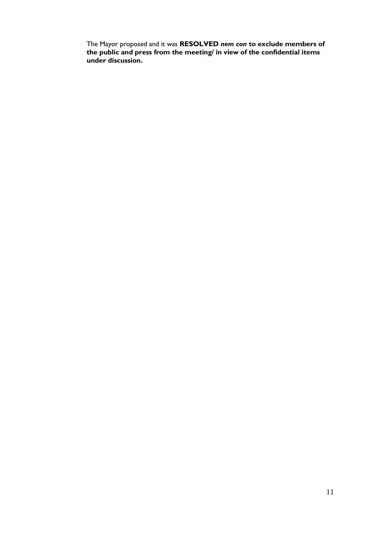The Mayor proposed and it was **RESOLVED** *nem con* **to exclude members of the public and press from the meeting/ in view of the confidential items under discussion.**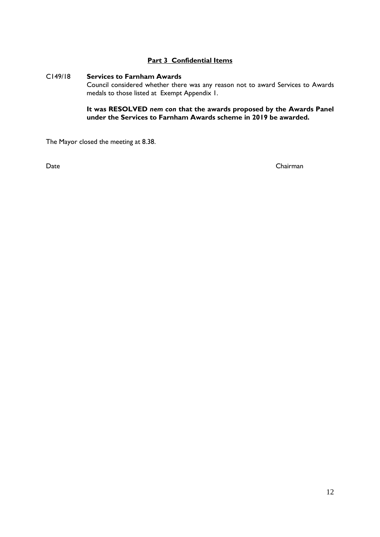#### **Part 3 Confidential Items**

#### C149/18 **Services to Farnham Awards**

Council considered whether there was any reason not to award Services to Awards medals to those listed at Exempt Appendix 1.

**It was RESOLVED** *nem con* **that the awards proposed by the Awards Panel under the Services to Farnham Awards scheme in 2019 be awarded.**

The Mayor closed the meeting at 8.38.

Date Chairman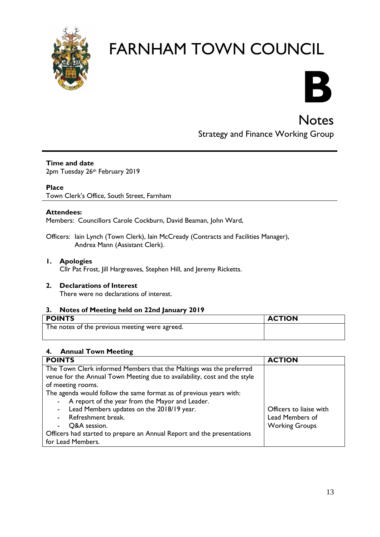



# **Notes** Strategy and Finance Working Group

#### **Time and date**

2pm Tuesday 26th February 2019

#### **Place**

Town Clerk's Office, South Street, Farnham

#### **Attendees:**

Members: Councillors Carole Cockburn, David Beaman, John Ward,

Officers: Iain Lynch (Town Clerk), Iain McCready (Contracts and Facilities Manager), Andrea Mann (Assistant Clerk).

#### **1. Apologies** Cllr Pat Frost, Jill Hargreaves, Stephen Hill, and Jeremy Ricketts.

#### **2. Declarations of Interest**

There were no declarations of interest.

# **3. Notes of Meeting held on 22nd January 2019**

| <b>POINTS</b>                                  | <b>ACTION</b> |
|------------------------------------------------|---------------|
| The notes of the previous meeting were agreed. |               |

#### **4. Annual Town Meeting**

| <b>POINTS</b>                                                             | <b>ACTION</b>           |
|---------------------------------------------------------------------------|-------------------------|
| The Town Clerk informed Members that the Maltings was the preferred       |                         |
| venue for the Annual Town Meeting due to availability, cost and the style |                         |
| of meeting rooms.                                                         |                         |
| The agenda would follow the same format as of previous years with:        |                         |
| - A report of the year from the Mayor and Leader.                         |                         |
| Lead Members updates on the 2018/19 year.<br>$\blacksquare$               | Officers to liaise with |
| Refreshment break.                                                        | Lead Members of         |
| Q&A session.<br>$\sim$                                                    | <b>Working Groups</b>   |
| Officers had started to prepare an Annual Report and the presentations    |                         |
| for Lead Members.                                                         |                         |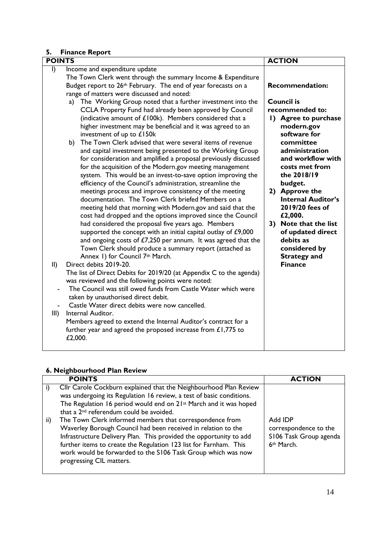#### **5. Finance Report**

| <b>POINTS</b>                                                              |                                                                                                                             | <b>ACTION</b>                       |
|----------------------------------------------------------------------------|-----------------------------------------------------------------------------------------------------------------------------|-------------------------------------|
| $\mathsf{I}$                                                               | Income and expenditure update                                                                                               |                                     |
|                                                                            | The Town Clerk went through the summary Income & Expenditure                                                                |                                     |
| Budget report to 26 <sup>th</sup> February. The end of year forecasts on a |                                                                                                                             | <b>Recommendation:</b>              |
|                                                                            | range of matters were discussed and noted:                                                                                  |                                     |
|                                                                            | a) The Working Group noted that a further investment into the                                                               | <b>Council is</b>                   |
|                                                                            | CCLA Property Fund had already been approved by Council                                                                     | recommended to:                     |
|                                                                            | (indicative amount of £100k). Members considered that a                                                                     | 1) Agree to purchase                |
|                                                                            | higher investment may be beneficial and it was agreed to an                                                                 | modern.gov                          |
|                                                                            | investment of up to £150k                                                                                                   | software for                        |
|                                                                            | The Town Clerk advised that were several items of revenue<br>b)                                                             | committee                           |
|                                                                            | and capital investment being presented to the Working Group                                                                 | administration<br>and workflow with |
|                                                                            | for consideration and amplified a proposal previously discussed<br>for the acquisition of the Modern.gov meeting management | costs met from                      |
|                                                                            | system. This would be an invest-to-save option improving the                                                                | the 2018/19                         |
|                                                                            | efficiency of the Council's administration, streamline the                                                                  | budget.                             |
|                                                                            | meetings process and improve consistency of the meeting                                                                     | 2) Approve the                      |
|                                                                            | documentation. The Town Clerk briefed Members on a                                                                          | <b>Internal Auditor's</b>           |
|                                                                            | meeting held that morning with Modern.gov and said that the                                                                 | 2019/20 fees of                     |
|                                                                            | cost had dropped and the options improved since the Council                                                                 | £2,000.                             |
|                                                                            | had considered the proposal five years ago. Members                                                                         | 3) Note that the list               |
|                                                                            | supported the concept with an initial capital outlay of £9,000                                                              | of updated direct                   |
|                                                                            | and ongoing costs of $E7,250$ per annum. It was agreed that the                                                             | debits as                           |
|                                                                            | Town Clerk should produce a summary report (attached as                                                                     | considered by                       |
|                                                                            | Annex 1) for Council 7th March.                                                                                             | <b>Strategy and</b>                 |
| $\parallel$                                                                | Direct debits 2019-20.                                                                                                      | <b>Finance</b>                      |
|                                                                            | The list of Direct Debits for 2019/20 (at Appendix C to the agenda)                                                         |                                     |
|                                                                            | was reviewed and the following points were noted:                                                                           |                                     |
|                                                                            | The Council was still owed funds from Castle Water which were                                                               |                                     |
|                                                                            | taken by unauthorised direct debit.                                                                                         |                                     |
| III)                                                                       | Castle Water direct debits were now cancelled.<br>Internal Auditor.                                                         |                                     |
|                                                                            | Members agreed to extend the Internal Auditor's contract for a                                                              |                                     |
|                                                                            | further year and agreed the proposed increase from $£1,775$ to                                                              |                                     |
|                                                                            | £2,000.                                                                                                                     |                                     |
|                                                                            |                                                                                                                             |                                     |

#### **6. Neighbourhood Plan Review**

| <b>POINTS</b>                                                                                                                                                                                                                                                                                                                                                                                                                                                                                                                                                                                                                                                | <b>ACTION</b>                                                            |
|--------------------------------------------------------------------------------------------------------------------------------------------------------------------------------------------------------------------------------------------------------------------------------------------------------------------------------------------------------------------------------------------------------------------------------------------------------------------------------------------------------------------------------------------------------------------------------------------------------------------------------------------------------------|--------------------------------------------------------------------------|
| Cllr Carole Cockburn explained that the Neighbourhood Plan Review<br>was undergoing its Regulation 16 review, a test of basic conditions.<br>The Regulation 16 period would end on 21 <sup>st</sup> March and it was hoped<br>that a 2 <sup>nd</sup> referendum could be avoided.<br>The Town Clerk informed members that correspondence from<br>ii)<br>Waverley Borough Council had been received in relation to the<br>Infrastructure Delivery Plan. This provided the opportunity to add<br>further items to create the Regulation 123 list for Farnham. This<br>work would be forwarded to the S106 Task Group which was now<br>progressing CIL matters. | Add IDP<br>correspondence to the<br>S106 Task Group agenda<br>6th March. |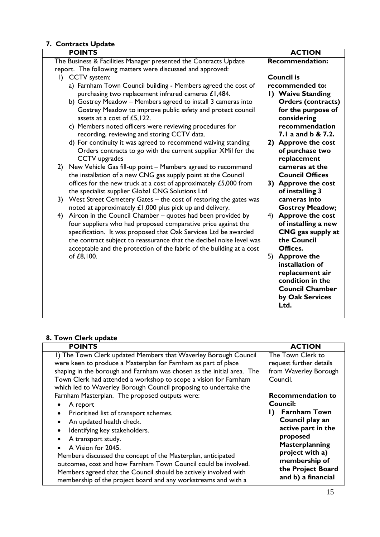### **7. Contracts Update**

| <b>POINTS</b>                                                                                                                      | <b>ACTION</b>                 |
|------------------------------------------------------------------------------------------------------------------------------------|-------------------------------|
| The Business & Facilities Manager presented the Contracts Update                                                                   | <b>Recommendation:</b>        |
| report. The following matters were discussed and approved:                                                                         |                               |
| I) CCTV system:                                                                                                                    | <b>Council is</b>             |
| a) Farnham Town Council building - Members agreed the cost of                                                                      | recommended to:               |
| purchasing two replacement infrared cameras £1,484.                                                                                | 1) Waive Standing             |
| b) Gostrey Meadow - Members agreed to install 3 cameras into                                                                       | <b>Orders (contracts)</b>     |
| Gostrey Meadow to improve public safety and protect council                                                                        | for the purpose of            |
| assets at a cost of £5,122.                                                                                                        | considering                   |
| c) Members noted officers were reviewing procedures for                                                                            | recommendation                |
| recording, reviewing and storing CCTV data.                                                                                        | 7.1 a and b & 7.2.            |
| d) For continuity it was agreed to recommend waiving standing                                                                      | 2) Approve the cost           |
| Orders contracts to go with the current supplier XMil for the                                                                      | of purchase two               |
| CCTV upgrades                                                                                                                      | replacement<br>cameras at the |
| New Vehicle Gas fill-up point – Members agreed to recommend<br>2)<br>the installation of a new CNG gas supply point at the Council | <b>Council Offices</b>        |
| offices for the new truck at a cost of approximately £5,000 from                                                                   | 3) Approve the cost           |
| the specialist supplier Global CNG Solutions Ltd                                                                                   | of installing 3               |
| 3) West Street Cemetery Gates – the cost of restoring the gates was                                                                | cameras into                  |
| noted at approximately £1,000 plus pick up and delivery.                                                                           | <b>Gostrey Meadow;</b>        |
| Aircon in the Council Chamber - quotes had been provided by<br>4)                                                                  | <b>Approve the cost</b><br>4) |
| four suppliers who had proposed comparative price against the                                                                      | of installing a new           |
| specification. It was proposed that Oak Services Ltd be awarded                                                                    | CNG gas supply at             |
| the contract subject to reassurance that the decibel noise level was                                                               | the Council                   |
| acceptable and the protection of the fabric of the building at a cost                                                              | Offices.                      |
| of £8,100.                                                                                                                         | <b>Approve the</b><br>5)      |
|                                                                                                                                    | installation of               |
|                                                                                                                                    | replacement air               |
|                                                                                                                                    | condition in the              |
|                                                                                                                                    | <b>Council Chamber</b>        |
|                                                                                                                                    | by Oak Services               |
|                                                                                                                                    | Ltd.                          |
|                                                                                                                                    |                               |

# **8. Town Clerk update**

| <b>POINTS</b>                                                          | <b>ACTION</b>             |
|------------------------------------------------------------------------|---------------------------|
| I) The Town Clerk updated Members that Waverley Borough Council        | The Town Clerk to         |
| were keen to produce a Masterplan for Farnham as part of place         | request further details   |
| shaping in the borough and Farnham was chosen as the initial area. The | from Waverley Borough     |
| Town Clerk had attended a workshop to scope a vision for Farnham       | Council.                  |
| which led to Waverley Borough Council proposing to undertake the       |                           |
| Farnham Masterplan. The proposed outputs were:                         | <b>Recommendation to</b>  |
| A report<br>$\bullet$                                                  | <b>Council:</b>           |
| Prioritised list of transport schemes.<br>$\bullet$                    | <b>Farnham Town</b><br>D. |
| An updated health check.<br>$\bullet$                                  | Council play an           |
| Identifying key stakeholders.<br>$\bullet$                             | active part in the        |
| A transport study.<br>$\bullet$                                        | proposed                  |
| A Vision for 2045.                                                     | Masterplanning            |
| Members discussed the concept of the Masterplan, anticipated           | project with a)           |
| outcomes, cost and how Farnham Town Council could be involved.         | membership of             |
| Members agreed that the Council should be actively involved with       | the Project Board         |
| membership of the project board and any workstreams and with a         | and b) a financial        |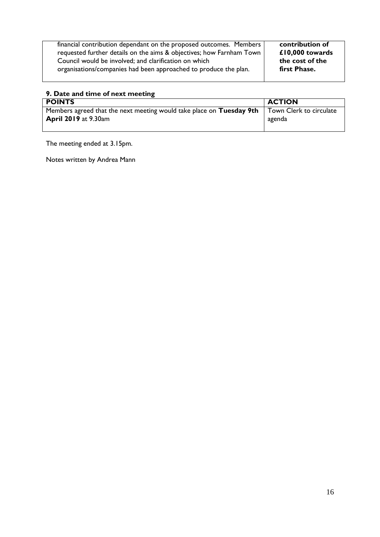| financial contribution dependant on the proposed outcomes. Members   | contribution of |
|----------------------------------------------------------------------|-----------------|
| requested further details on the aims & objectives; how Farnham Town | £10,000 towards |
| Council would be involved; and clarification on which                | the cost of the |
| organisations/companies had been approached to produce the plan.     | first Phase.    |
|                                                                      |                 |

# **9. Date and time of next meeting**

| <b>POINTS</b>                                                                                       | <b>ACTION</b> |
|-----------------------------------------------------------------------------------------------------|---------------|
| Members agreed that the next meeting would take place on Tuesday 9th $\mid$ Town Clerk to circulate |               |
| <b>April 2019</b> at 9.30am                                                                         | agenda        |
|                                                                                                     |               |

The meeting ended at 3.15pm.

Notes written by Andrea Mann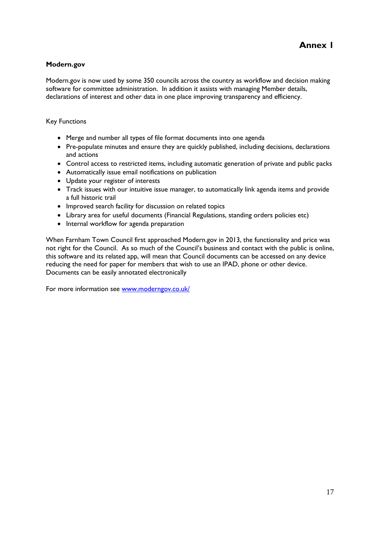#### **Modern.gov**

Modern.gov is now used by some 350 councils across the country as workflow and decision making software for committee administration. In addition it assists with managing Member details, declarations of interest and other data in one place improving transparency and efficiency.

Key Functions

- Merge and number all types of file format documents into one agenda
- Pre-populate minutes and ensure they are quickly published, including decisions, declarations and actions
- Control access to restricted items, including automatic generation of private and public packs
- Automatically issue email notifications on publication
- Update your register of interests
- Track issues with our intuitive issue manager, to automatically link agenda items and provide a full historic trail
- Improved search facility for discussion on related topics
- Library area for useful documents (Financial Regulations, standing orders policies etc)
- Internal workflow for agenda preparation

When Farnham Town Council first approached Modern.gov in 2013, the functionality and price was not right for the Council. As so much of the Council's business and contact with the public is online, this software and its related app, will mean that Council documents can be accessed on any device reducing the need for paper for members that wish to use an IPAD, phone or other device. Documents can be easily annotated electronically

For more information see [www.moderngov.co.uk/](http://www.moderngov.co.uk/)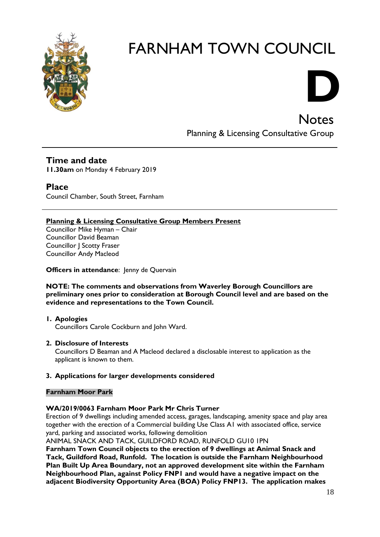

# **D**

**Notes** Planning & Licensing Consultative Group

## **Time and date**

**11.30am** on Monday 4 February 2019

## **Place**

Council Chamber, South Street, Farnham

#### **Planning & Licensing Consultative Group Members Present**

Councillor Mike Hyman – Chair Councillor David Beaman Councillor J Scotty Fraser Councillor Andy Macleod

#### **Officers in attendance:** Jenny de Quervain

#### **NOTE: The comments and observations from Waverley Borough Councillors are preliminary ones prior to consideration at Borough Council level and are based on the evidence and representations to the Town Council.**

**1. Apologies** Councillors Carole Cockburn and John Ward.

#### **2. Disclosure of Interests**

Councillors D Beaman and A Macleod declared a disclosable interest to application as the applicant is known to them.

#### **3. Applications for larger developments considered**

#### **Farnham Moor Park**

#### **WA/2019/0063 Farnham Moor Park Mr Chris Turner**

Erection of 9 dwellings including amended access, garages, landscaping, amenity space and play area together with the erection of a Commercial building Use Class A1 with associated office, service yard, parking and associated works, following demolition

ANIMAL SNACK AND TACK, GUILDFORD ROAD, RUNFOLD GU10 1PN **Farnham Town Council objects to the erection of 9 dwellings at Animal Snack and Tack, Guildford Road, Runfold. The location is outside the Farnham Neighbourhood Plan Built Up Area Boundary, not an approved development site within the Farnham Neighbourhood Plan, against Policy FNP1 and would have a negative impact on the adjacent Biodiversity Opportunity Area (BOA) Policy FNP13. The application makes**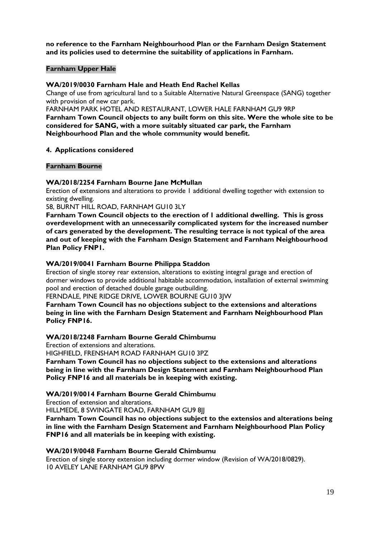**no reference to the Farnham Neighbourhood Plan or the Farnham Design Statement and its policies used to determine the suitability of applications in Farnham.** 

#### **Farnham Upper Hale**

#### **WA/2019/0030 Farnham Hale and Heath End Rachel Kellas**

Change of use from agricultural land to a Suitable Alternative Natural Greenspace (SANG) together with provision of new car park.

FARNHAM PARK HOTEL AND RESTAURANT, LOWER HALE FARNHAM GU9 9RP **Farnham Town Council objects to any built form on this site. Were the whole site to be considered for SANG, with a more suitably situated car park, the Farnham Neighbourhood Plan and the whole community would benefit.** 

#### **4. Applications considered**

#### **Farnham Bourne**

#### **WA/2018/2254 Farnham Bourne Jane McMullan**

Erection of extensions and alterations to provide 1 additional dwelling together with extension to existing dwelling.

58, BURNT HILL ROAD, FARNHAM GU10 3LY

**Farnham Town Council objects to the erection of 1 additional dwelling. This is gross overdevelopment with an unnecessarily complicated system for the increased number of cars generated by the development. The resulting terrace is not typical of the area and out of keeping with the Farnham Design Statement and Farnham Neighbourhood Plan Policy FNP1.**

#### **WA/2019/0041 Farnham Bourne Philippa Staddon**

Erection of single storey rear extension, alterations to existing integral garage and erection of dormer windows to provide additional habitable accommodation, installation of external swimming pool and erection of detached double garage outbuilding.

FERNDALE, PINE RIDGE DRIVE, LOWER BOURNE GU10 3JW

**Farnham Town Council has no objections subject to the extensions and alterations being in line with the Farnham Design Statement and Farnham Neighbourhood Plan Policy FNP16.**

#### **WA/2018/2248 Farnham Bourne Gerald Chimbumu**

Erection of extensions and alterations.

HIGHFIELD, FRENSHAM ROAD FARNHAM GU10 3PZ

**Farnham Town Council has no objections subject to the extensions and alterations being in line with the Farnham Design Statement and Farnham Neighbourhood Plan Policy FNP16 and all materials be in keeping with existing.**

#### **WA/2019/0014 Farnham Bourne Gerald Chimbumu**

Erection of extension and alterations.

HILLMEDE, 8 SWINGATE ROAD, FARNHAM GU9 8JJ

**Farnham Town Council has no objections subject to the extensios and alterations being in line with the Farnham Design Statement and Farnham Neighbourhood Plan Policy FNP16 and all materials be in keeping with existing.**

#### **WA/2019/0048 Farnham Bourne Gerald Chimbumu**

Erection of single storey extension including dormer window (Revision of WA/2018/0829). 10 AVELEY LANE FARNHAM GU9 8PW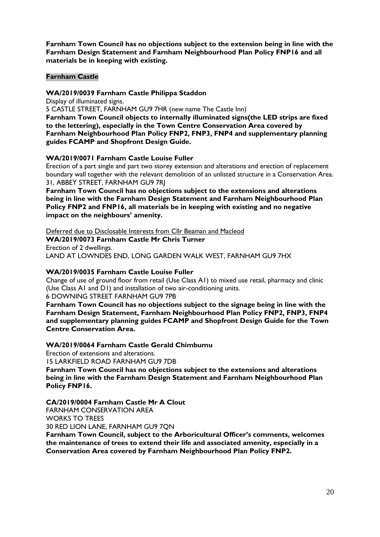**Farnham Town Council has no objections subject to the extension being in line with the Farnham Design Statement and Farnham Neighbourhood Plan Policy FNP16 and all materials be in keeping with existing.**

#### **Farnham Castle**

#### **WA/2019/0039 Farnham Castle Philippa Staddon**

Display of illuminated signs.

5 CASTLE STREET, FARNHAM GU9 7HR (new name The Castle Inn)

**Farnham Town Council objects to internally illuminated signs(the LED strips are fixed to the lettering), especially in the Town Centre Conservation Area covered by Farnham Neighbourhood Plan Policy FNP2, FNP3, FNP4 and supplementary planning guides FCAMP and Shopfront Design Guide.**

#### **WA/2019/0071 Farnham Castle Louise Fuller**

Erection of a part single and part two storey extension and alterations and erection of replacement boundary wall together with the relevant demolition of an unlisted structure in a Conservation Area. 31, ABBEY STREET, FARNHAM GU9 7RJ

**Farnham Town Council has no objections subject to the extensions and alterations being in line with the Farnham Design Statement and Farnham Neighbourhood Plan Policy FNP2 and FNP16, all materials be in keeping with existing and no negative impact on the neighbours' amenity.**

Deferred due to Disclosable Interests from Cllr Beaman and Macleod **WA/2019/0073 Farnham Castle Mr Chris Turner** Erection of 2 dwellings. LAND AT LOWNDES END, LONG GARDEN WALK WEST, FARNHAM GU9 7HX

#### **WA/2019/0035 Farnham Castle Louise Fuller**

Change of use of ground floor from retail (Use Class A1) to mixed use retail, pharmacy and clinic (Use Class A1 and D1) and installation of two air-conditioning units. 6 DOWNING STREET FARNHAM GU9 7PB

**Farnham Town Council has no objections subject to the signage being in line with the Farnham Design Statement, Farnham Neighbourhood Plan Policy FNP2, FNP3, FNP4 and supplementary planning guides FCAMP and Shopfront Design Guide for the Town Centre Conservation Area.**

#### **WA/2019/0064 Farnham Castle Gerald Chimbumu**

Erection of extensions and alterations.

15 LARKFIELD ROAD FARNHAM GU9 7DB

**Farnham Town Council has no objections subject to the extensions and alterations being in line with the Farnham Design Statement and Farnham Neighbourhood Plan Policy FNP16.**

#### **CA/2019/0004 Farnham Castle Mr A Clout**

FARNHAM CONSERVATION AREA

WORKS TO TREES

30 RED LION LANE, FARNHAM GU9 7QN

**Farnham Town Council, subject to the Arboricultural Officer's comments, welcomes the maintenance of trees to extend their life and associated amenity, especially in a Conservation Area covered by Farnham Neighbourhood Plan Policy FNP2.**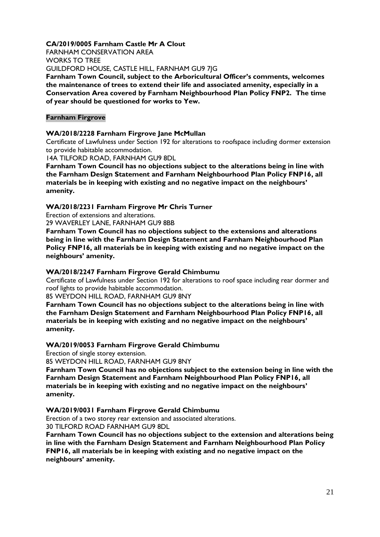**CA/2019/0005 Farnham Castle Mr A Clout** FARNHAM CONSERVATION AREA WORKS TO TREE GUILDFORD HOUSE, CASTLE HILL, FARNHAM GU9 7JG

**Farnham Town Council, subject to the Arboricultural Officer's comments, welcomes the maintenance of trees to extend their life and associated amenity, especially in a Conservation Area covered by Farnham Neighbourhood Plan Policy FNP2. The time of year should be questioned for works to Yew.**

#### **Farnham Firgrove**

#### **WA/2018/2228 Farnham Firgrove Jane McMullan**

Certificate of Lawfulness under Section 192 for alterations to roofspace including dormer extension to provide habitable accommodation.

14A TILFORD ROAD, FARNHAM GU9 8DL

**Farnham Town Council has no objections subject to the alterations being in line with the Farnham Design Statement and Farnham Neighbourhood Plan Policy FNP16, all materials be in keeping with existing and no negative impact on the neighbours' amenity.**

#### **WA/2018/2231 Farnham Firgrove Mr Chris Turner**

Erection of extensions and alterations.

29 WAVERLEY LANE, FARNHAM GU9 8BB

**Farnham Town Council has no objections subject to the extensions and alterations being in line with the Farnham Design Statement and Farnham Neighbourhood Plan Policy FNP16, all materials be in keeping with existing and no negative impact on the neighbours' amenity.**

#### **WA/2018/2247 Farnham Firgrove Gerald Chimbumu**

Certificate of Lawfulness under Section 192 for alterations to roof space including rear dormer and roof lights to provide habitable accommodation.

85 WEYDON HILL ROAD, FARNHAM GU9 8NY

**Farnham Town Council has no objections subject to the alterations being in line with the Farnham Design Statement and Farnham Neighbourhood Plan Policy FNP16, all materials be in keeping with existing and no negative impact on the neighbours' amenity.**

#### **WA/2019/0053 Farnham Firgrove Gerald Chimbumu**

Erection of single storey extension.

85 WEYDON HILL ROAD, FARNHAM GU9 8NY

**Farnham Town Council has no objections subject to the extension being in line with the Farnham Design Statement and Farnham Neighbourhood Plan Policy FNP16, all materials be in keeping with existing and no negative impact on the neighbours' amenity.**

#### **WA/2019/0031 Farnham Firgrove Gerald Chimbumu**

Erection of a two storey rear extension and associated alterations. 30 TILFORD ROAD FARNHAM GU9 8DL

**Farnham Town Council has no objections subject to the extension and alterations being in line with the Farnham Design Statement and Farnham Neighbourhood Plan Policy FNP16, all materials be in keeping with existing and no negative impact on the neighbours' amenity.**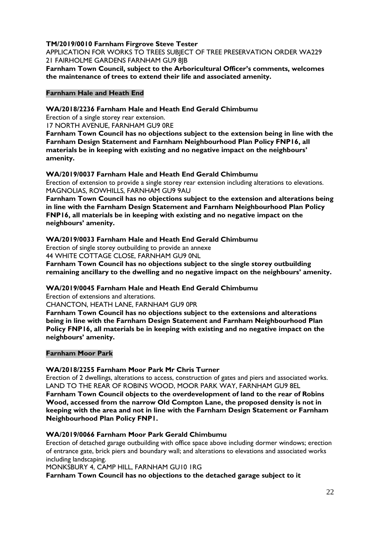#### **TM/2019/0010 Farnham Firgrove Steve Tester**

APPLICATION FOR WORKS TO TREES SUBJECT OF TREE PRESERVATION ORDER WA229 21 FAIRHOLME GARDENS FARNHAM GU9 8IB

**Farnham Town Council, subject to the Arboricultural Officer's comments, welcomes the maintenance of trees to extend their life and associated amenity.**

#### **Farnham Hale and Heath End**

#### **WA/2018/2236 Farnham Hale and Heath End Gerald Chimbumu**

Erection of a single storey rear extension.

17 NORTH AVENUE, FARNHAM GU9 0RE

**Farnham Town Council has no objections subject to the extension being in line with the Farnham Design Statement and Farnham Neighbourhood Plan Policy FNP16, all materials be in keeping with existing and no negative impact on the neighbours' amenity.**

#### **WA/2019/0037 Farnham Hale and Heath End Gerald Chimbumu**

Erection of extension to provide a single storey rear extension including alterations to elevations. MAGNOLIAS, ROWHILLS, FARNHAM GU9 9AU

**Farnham Town Council has no objections subject to the extension and alterations being in line with the Farnham Design Statement and Farnham Neighbourhood Plan Policy FNP16, all materials be in keeping with existing and no negative impact on the neighbours' amenity.**

#### **WA/2019/0033 Farnham Hale and Heath End Gerald Chimbumu**

Erection of single storey outbuilding to provide an annexe 44 WHITE COTTAGE CLOSE, FARNHAM GU9 0NL

**Farnham Town Council has no objections subject to the single storey outbuilding remaining ancillary to the dwelling and no negative impact on the neighbours' amenity.**

#### **WA/2019/0045 Farnham Hale and Heath End Gerald Chimbumu**

Erection of extensions and alterations.

CHANCTON, HEATH LANE, FARNHAM GU9 0PR

**Farnham Town Council has no objections subject to the extensions and alterations being in line with the Farnham Design Statement and Farnham Neighbourhood Plan Policy FNP16, all materials be in keeping with existing and no negative impact on the neighbours' amenity.**

#### **Farnham Moor Park**

#### **WA/2018/2255 Farnham Moor Park Mr Chris Turner**

Erection of 2 dwellings, alterations to access, construction of gates and piers and associated works. LAND TO THE REAR OF ROBINS WOOD, MOOR PARK WAY, FARNHAM GU9 8EL

**Farnham Town Council objects to the overdevelopment of land to the rear of Robins Wood, accessed from the narrow Old Compton Lane, the proposed density is not in keeping with the area and not in line with the Farnham Design Statement or Farnham Neighbourhood Plan Policy FNP1.** 

#### **WA/2019/0066 Farnham Moor Park Gerald Chimbumu**

Erection of detached garage outbuilding with office space above including dormer windows; erection of entrance gate, brick piers and boundary wall; and alterations to elevations and associated works including landscaping.

MONKSBURY 4, CAMP HILL, FARNHAM GU10 1RG

**Farnham Town Council has no objections to the detached garage subject to it**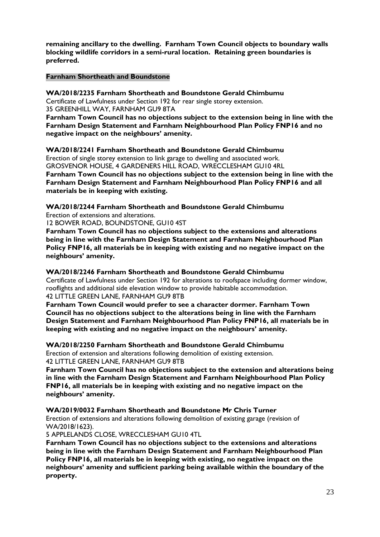**remaining ancillary to the dwelling. Farnham Town Council objects to boundary walls blocking wildlife corridors in a semi-rural location. Retaining green boundaries is preferred.** 

#### **Farnham Shortheath and Boundstone**

**WA/2018/2235 Farnham Shortheath and Boundstone Gerald Chimbumu** Certificate of Lawfulness under Section 192 for rear single storey extension. 35 GREENHILL WAY, FARNHAM GU9 8TA

**Farnham Town Council has no objections subject to the extension being in line with the Farnham Design Statement and Farnham Neighbourhood Plan Policy FNP16 and no negative impact on the neighbours' amenity.**

**WA/2018/2241 Farnham Shortheath and Boundstone Gerald Chimbumu** Erection of single storey extension to link garage to dwelling and associated work. GROSVENOR HOUSE, 4 GARDENERS HILL ROAD, WRECCLESHAM GU10 4RL

**Farnham Town Council has no objections subject to the extension being in line with the Farnham Design Statement and Farnham Neighbourhood Plan Policy FNP16 and all materials be in keeping with existing.**

**WA/2018/2244 Farnham Shortheath and Boundstone Gerald Chimbumu** Erection of extensions and alterations.

12 BOWER ROAD, BOUNDSTONE, GU10 4ST

**Farnham Town Council has no objections subject to the extensions and alterations being in line with the Farnham Design Statement and Farnham Neighbourhood Plan Policy FNP16, all materials be in keeping with existing and no negative impact on the neighbours' amenity.**

**WA/2018/2246 Farnham Shortheath and Boundstone Gerald Chimbumu** Certificate of Lawfulness under Section 192 for alterations to roofspace including dormer window, rooflights and additional side elevation window to provide habitable accommodation. 42 LITTLE GREEN LANE, FARNHAM GU9 8TB

**Farnham Town Council would prefer to see a character dormer. Farnham Town Council has no objections subject to the alterations being in line with the Farnham Design Statement and Farnham Neighbourhood Plan Policy FNP16, all materials be in keeping with existing and no negative impact on the neighbours' amenity.**

**WA/2018/2250 Farnham Shortheath and Boundstone Gerald Chimbumu** Erection of extension and alterations following demolition of existing extension. 42 LITTLE GREEN LANE, FARNHAM GU9 8TB

**Farnham Town Council has no objections subject to the extension and alterations being in line with the Farnham Design Statement and Farnham Neighbourhood Plan Policy FNP16, all materials be in keeping with existing and no negative impact on the neighbours' amenity.**

**WA/2019/0032 Farnham Shortheath and Boundstone Mr Chris Turner**

Erection of extensions and alterations following demolition of existing garage (revision of WA/2018/1623).

5 APPLELANDS CLOSE, WRECCLESHAM GU10 4TL

**Farnham Town Council has no objections subject to the extensions and alterations being in line with the Farnham Design Statement and Farnham Neighbourhood Plan Policy FNP16, all materials be in keeping with existing, no negative impact on the neighbours' amenity and sufficient parking being available within the boundary of the property.**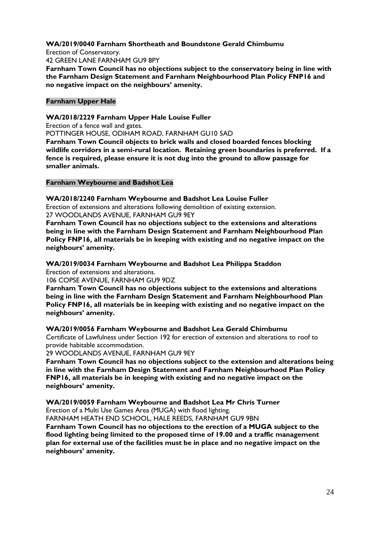#### **WA/2019/0040 Farnham Shortheath and Boundstone Gerald Chimbumu**

Erection of Conservatory.

42 GREEN LANE FARNHAM GU9 8PY

**Farnham Town Council has no objections subject to the conservatory being in line with the Farnham Design Statement and Farnham Neighbourhood Plan Policy FNP16 and no negative impact on the neighbours' amenity.**

#### **Farnham Upper Hale**

#### **WA/2018/2229 Farnham Upper Hale Louise Fuller**

Erection of a fence wall and gates.

POTTINGER HOUSE, ODIHAM ROAD, FARNHAM GU10 5AD

**Farnham Town Council objects to brick walls and closed boarded fences blocking wildlife corridors in a semi-rural location. Retaining green boundaries is preferred. If a fence is required, please ensure it is not dug into the ground to allow passage for smaller animals.**

#### **Farnham Weybourne and Badshot Lea**

**WA/2018/2240 Farnham Weybourne and Badshot Lea Louise Fuller** Erection of extensions and alterations following demolition of existing extension. 27 WOODLANDS AVENUE, FARNHAM GU9 9EY

**Farnham Town Council has no objections subject to the extensions and alterations being in line with the Farnham Design Statement and Farnham Neighbourhood Plan Policy FNP16, all materials be in keeping with existing and no negative impact on the neighbours' amenity.**

**WA/2019/0034 Farnham Weybourne and Badshot Lea Philippa Staddon** Erection of extensions and alterations.

106 COPSE AVENUE, FARNHAM GU9 9DZ

**Farnham Town Council has no objections subject to the extensions and alterations being in line with the Farnham Design Statement and Farnham Neighbourhood Plan Policy FNP16, all materials be in keeping with existing and no negative impact on the neighbours' amenity.**

#### **WA/2019/0056 Farnham Weybourne and Badshot Lea Gerald Chimbumu**

Certificate of Lawfulness under Section 192 for erection of extension and alterations to roof to provide habitable accommodation.

29 WOODLANDS AVENUE, FARNHAM GU9 9EY

**Farnham Town Council has no objections subject to the extension and alterations being in line with the Farnham Design Statement and Farnham Neighbourhood Plan Policy FNP16, all materials be in keeping with existing and no negative impact on the neighbours' amenity.**

**WA/2019/0059 Farnham Weybourne and Badshot Lea Mr Chris Turner**

Erection of a Multi Use Games Area (MUGA) with flood lighting.

FARNHAM HEATH END SCHOOL, HALE REEDS, FARNHAM GU9 9BN

**Farnham Town Council has no objections to the erection of a MUGA subject to the flood lighting being limited to the proposed time of 19.00 and a traffic management plan for external use of the facilities must be in place and no negative impact on the neighbours' amenity.**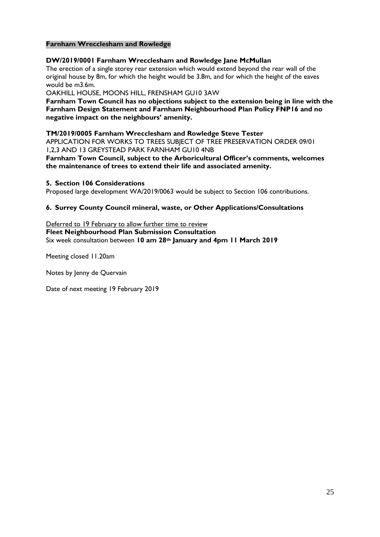#### **Farnham Wrecclesham and Rowledge**

#### **DW/2019/0001 Farnham Wrecclesham and Rowledge Jane McMullan**

The erection of a single storey rear extension which would extend beyond the rear wall of the original house by 8m, for which the height would be 3.8m, and for which the height of the eaves would be m3.6m.

OAKHILL HOUSE, MOONS HILL, FRENSHAM GU10 3AW

**Farnham Town Council has no objections subject to the extension being in line with the Farnham Design Statement and Farnham Neighbourhood Plan Policy FNP16 and no negative impact on the neighbours' amenity.**

#### **TM/2019/0005 Farnham Wrecclesham and Rowledge Steve Tester**

APPLICATION FOR WORKS TO TREES SUBJECT OF TREE PRESERVATION ORDER 09/01 1,2,3 AND 13 GREYSTEAD PARK FARNHAM GU10 4NB

**Farnham Town Council, subject to the Arboricultural Officer's comments, welcomes the maintenance of trees to extend their life and associated amenity.**

#### **5. Section 106 Considerations**

Proposed large development WA/2019/0063 would be subject to Section 106 contributions.

#### **6. Surrey County Council mineral, waste, or Other Applications/Consultations**

Deferred to 19 February to allow further time to review **Fleet Neighbourhood Plan Submission Consultation** Six week consultation between **10 am 28th January and 4pm 11 March 2019**

Meeting closed 11.20am

Notes by Jenny de Quervain

Date of next meeting 19 February 2019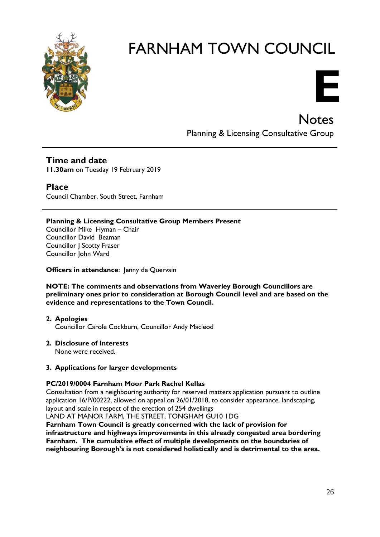

# **E**

# **Notes** Planning & Licensing Consultative Group

# **Time and date**

**11.30am** on Tuesday 19 February 2019

# **Place**

Council Chamber, South Street, Farnham

#### **Planning & Licensing Consultative Group Members Present**

Councillor Mike Hyman – Chair Councillor David Beaman Councillor J Scotty Fraser Councillor John Ward

#### **Officers in attendance:** Jenny de Quervain

#### **NOTE: The comments and observations from Waverley Borough Councillors are preliminary ones prior to consideration at Borough Council level and are based on the evidence and representations to the Town Council.**

#### **2. Apologies**

Councillor Carole Cockburn, Councillor Andy Macleod

#### **2. Disclosure of Interests**

None were received.

#### **3. Applications for larger developments**

#### **PC/2019/0004 Farnham Moor Park Rachel Kellas**

Consultation from a neighbouring authority for reserved matters application pursuant to outline application 16/P/00222, allowed on appeal on 26/01/2018, to consider appearance, landscaping, layout and scale in respect of the erection of 254 dwellings

LAND AT MANOR FARM, THE STREET, TONGHAM GU10 1DG

**Farnham Town Council is greatly concerned with the lack of provision for infrastructure and highways improvements in this already congested area bordering Farnham. The cumulative effect of multiple developments on the boundaries of neighbouring Borough's is not considered holistically and is detrimental to the area.**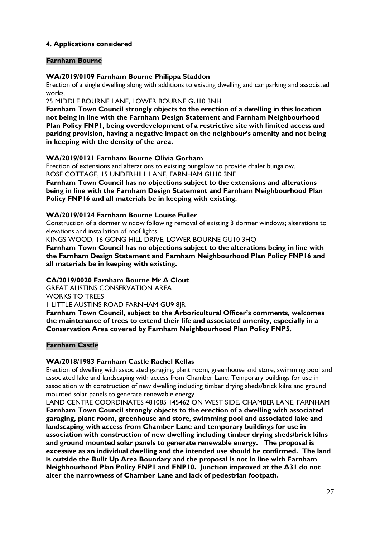#### **4. Applications considered**

#### **Farnham Bourne**

#### **WA/2019/0109 Farnham Bourne Philippa Staddon**

Erection of a single dwelling along with additions to existing dwelling and car parking and associated works.

25 MIDDLE BOURNE LANE, LOWER BOURNE GU10 3NH

**Farnham Town Council strongly objects to the erection of a dwelling in this location not being in line with the Farnham Design Statement and Farnham Neighbourhood Plan Policy FNP1, being overdevelopment of a restrictive site with limited access and parking provision, having a negative impact on the neighbour's amenity and not being in keeping with the density of the area.** 

#### **WA/2019/0121 Farnham Bourne Olivia Gorham**

Erection of extensions and alterations to existing bungalow to provide chalet bungalow. ROSE COTTAGE, 15 UNDERHILL LANE, FARNHAM GU10 3NF

**Farnham Town Council has no objections subject to the extensions and alterations being in line with the Farnham Design Statement and Farnham Neighbourhood Plan Policy FNP16 and all materials be in keeping with existing.**

#### **WA/2019/0124 Farnham Bourne Louise Fuller**

Construction of a dormer window following removal of existing 3 dormer windows; alterations to elevations and installation of roof lights.

KINGS WOOD, 16 GONG HILL DRIVE, LOWER BOURNE GU10 3HQ

**Farnham Town Council has no objections subject to the alterations being in line with the Farnham Design Statement and Farnham Neighbourhood Plan Policy FNP16 and all materials be in keeping with existing.**

#### **CA/2019/0020 Farnham Bourne Mr A Clout**

GREAT AUSTINS CONSERVATION AREA

WORKS TO TREES

1 LITTLE AUSTINS ROAD FARNHAM GU9 8JR

**Farnham Town Council, subject to the Arboricultural Officer's comments, welcomes the maintenance of trees to extend their life and associated amenity, especially in a Conservation Area covered by Farnham Neighbourhood Plan Policy FNP5.**

#### **Farnham Castle**

#### **WA/2018/1983 Farnham Castle Rachel Kellas**

Erection of dwelling with associated garaging, plant room, greenhouse and store, swimming pool and associated lake and landscaping with access from Chamber Lane. Temporary buildings for use in association with construction of new dwelling including timber drying sheds/brick kilns and ground mounted solar panels to generate renewable energy.

LAND CENTRE COORDINATES 481085 145462 ON WEST SIDE, CHAMBER LANE, FARNHAM **Farnham Town Council strongly objects to the erection of a dwelling with associated garaging, plant room, greenhouse and store, swimming pool and associated lake and landscaping with access from Chamber Lane and temporary buildings for use in association with construction of new dwelling including timber drying sheds/brick kilns and ground mounted solar panels to generate renewable energy. The proposal is excessive as an individual dwelling and the intended use should be confirmed. The land is outside the Built Up Area Boundary and the proposal is not in line with Farnham Neighbourhood Plan Policy FNP1 and FNP10. Junction improved at the A31 do not alter the narrowness of Chamber Lane and lack of pedestrian footpath.**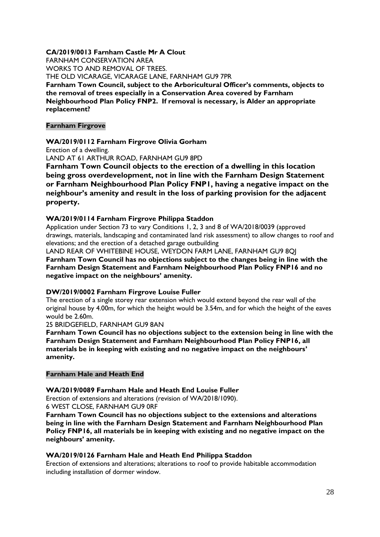#### **CA/2019/0013 Farnham Castle Mr A Clout**

FARNHAM CONSERVATION AREA WORKS TO AND REMOVAL OF TREES. THE OLD VICARAGE, VICARAGE LANE, FARNHAM GU9 7PR **Farnham Town Council, subject to the Arboricultural Officer's comments, objects to the removal of trees especially in a Conservation Area covered by Farnham Neighbourhood Plan Policy FNP2. If removal is necessary, is Alder an appropriate replacement?**

#### **Farnham Firgrove**

#### **WA/2019/0112 Farnham Firgrove Olivia Gorham**

Erection of a dwelling.

LAND AT 61 ARTHUR ROAD, FARNHAM GU9 8PD

**Farnham Town Council objects to the erection of a dwelling in this location being gross overdevelopment, not in line with the Farnham Design Statement or Farnham Neighbourhood Plan Policy FNP1, having a negative impact on the neighbour's amenity and result in the loss of parking provision for the adjacent property.**

#### **WA/2019/0114 Farnham Firgrove Philippa Staddon**

Application under Section 73 to vary Conditions 1, 2, 3 and 8 of WA/2018/0039 (approved drawings, materials, landscaping and contaminated land risk assessment) to allow changes to roof and elevations; and the erection of a detached garage outbuilding

LAND REAR OF WHITEBINE HOUSE, WEYDON FARM LANE, FARNHAM GU9 8QJ **Farnham Town Council has no objections subject to the changes being in line with the Farnham Design Statement and Farnham Neighbourhood Plan Policy FNP16 and no negative impact on the neighbours' amenity.**

#### **DW/2019/0002 Farnham Firgrove Louise Fuller**

The erection of a single storey rear extension which would extend beyond the rear wall of the original house by 4.00m, for which the height would be 3.54m, and for which the height of the eaves would be 2.60m.

25 BRIDGEFIELD, FARNHAM GU9 8AN

**Farnham Town Council has no objections subject to the extension being in line with the Farnham Design Statement and Farnham Neighbourhood Plan Policy FNP16, all materials be in keeping with existing and no negative impact on the neighbours' amenity.**

#### **Farnham Hale and Heath End**

#### **WA/2019/0089 Farnham Hale and Heath End Louise Fuller**

Erection of extensions and alterations (revision of WA/2018/1090).

6 WEST CLOSE, FARNHAM GU9 0RF

**Farnham Town Council has no objections subject to the extensions and alterations being in line with the Farnham Design Statement and Farnham Neighbourhood Plan Policy FNP16, all materials be in keeping with existing and no negative impact on the neighbours' amenity.**

#### **WA/2019/0126 Farnham Hale and Heath End Philippa Staddon**

Erection of extensions and alterations; alterations to roof to provide habitable accommodation including installation of dormer window.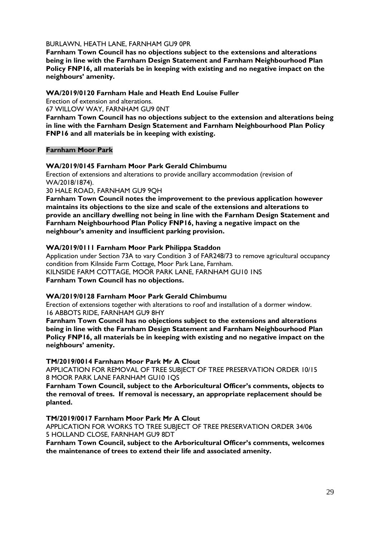#### BURLAWN, HEATH LANE, FARNHAM GU9 0PR

**Farnham Town Council has no objections subject to the extensions and alterations being in line with the Farnham Design Statement and Farnham Neighbourhood Plan Policy FNP16, all materials be in keeping with existing and no negative impact on the neighbours' amenity.**

#### **WA/2019/0120 Farnham Hale and Heath End Louise Fuller**

Erection of extension and alterations.

67 WILLOW WAY, FARNHAM GU9 0NT

**Farnham Town Council has no objections subject to the extension and alterations being in line with the Farnham Design Statement and Farnham Neighbourhood Plan Policy FNP16 and all materials be in keeping with existing.**

#### **Farnham Moor Park**

#### **WA/2019/0145 Farnham Moor Park Gerald Chimbumu**

Erection of extensions and alterations to provide ancillary accommodation (revision of WA/2018/1874).

30 HALE ROAD, FARNHAM GU9 9QH

**Farnham Town Council notes the improvement to the previous application however maintains its objections to the size and scale of the extensions and alterations to provide an ancillary dwelling not being in line with the Farnham Design Statement and Farnham Neighbourhood Plan Policy FNP16, having a negative impact on the neighbour's amenity and insufficient parking provision.**

#### **WA/2019/0111 Farnham Moor Park Philippa Staddon**

Application under Section 73A to vary Condition 3 of FAR248/73 to remove agricultural occupancy condition from Kilnside Farm Cottage, Moor Park Lane, Farnham. KILNSIDE FARM COTTAGE, MOOR PARK LANE, FARNHAM GU10 1NS **Farnham Town Council has no objections.**

#### **WA/2019/0128 Farnham Moor Park Gerald Chimbumu**

Erection of extensions together with alterations to roof and installation of a dormer window. 16 ABBOTS RIDE, FARNHAM GU9 8HY

**Farnham Town Council has no objections subject to the extensions and alterations being in line with the Farnham Design Statement and Farnham Neighbourhood Plan Policy FNP16, all materials be in keeping with existing and no negative impact on the neighbours' amenity.**

#### **TM/2019/0014 Farnham Moor Park Mr A Clout**

APPLICATION FOR REMOVAL OF TREE SUBJECT OF TREE PRESERVATION ORDER 10/15 8 MOOR PARK LANE FARNHAM GU10 1QS

**Farnham Town Council, subject to the Arboricultural Officer's comments, objects to the removal of trees. If removal is necessary, an appropriate replacement should be planted.**

#### **TM/2019/0017 Farnham Moor Park Mr A Clout**

APPLICATION FOR WORKS TO TREE SUBJECT OF TREE PRESERVATION ORDER 34/06 5 HOLLAND CLOSE, FARNHAM GU9 8DT

**Farnham Town Council, subject to the Arboricultural Officer's comments, welcomes the maintenance of trees to extend their life and associated amenity.**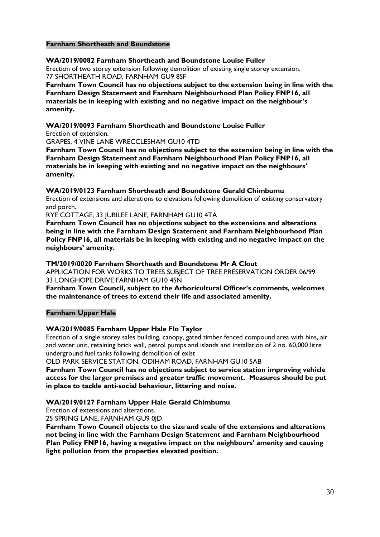#### **Farnham Shortheath and Boundstone**

#### **WA/2019/0082 Farnham Shortheath and Boundstone Louise Fuller**

Erection of two storey extension following demolition of existing single storey extension. 77 SHORTHEATH ROAD, FARNHAM GU9 8SF

**Farnham Town Council has no objections subject to the extension being in line with the Farnham Design Statement and Farnham Neighbourhood Plan Policy FNP16, all materials be in keeping with existing and no negative impact on the neighbour's amenity.**

#### **WA/2019/0093 Farnham Shortheath and Boundstone Louise Fuller**

Erection of extension.

GRAPES, 4 VINE LANE WRECCLESHAM GU10 4TD

**Farnham Town Council has no objections subject to the extension being in line with the Farnham Design Statement and Farnham Neighbourhood Plan Policy FNP16, all materials be in keeping with existing and no negative impact on the neighbours' amenity.**

#### **WA/2019/0123 Farnham Shortheath and Boundstone Gerald Chimbumu**

Erection of extensions and alterations to elevations following demolition of existing conservatory and porch.

RYE COTTAGE, 33 JUBILEE LANE, FARNHAM GU10 4TA

**Farnham Town Council has no objections subject to the extensions and alterations being in line with the Farnham Design Statement and Farnham Neighbourhood Plan Policy FNP16, all materials be in keeping with existing and no negative impact on the neighbours' amenity.**

#### **TM/2019/0020 Farnham Shortheath and Boundstone Mr A Clout**

APPLICATION FOR WORKS TO TREES SUBJECT OF TREE PRESERVATION ORDER 06/99 33 LONGHOPE DRIVE FARNHAM GU10 4SN

**Farnham Town Council, subject to the Arboricultural Officer's comments, welcomes the maintenance of trees to extend their life and associated amenity.**

#### **Farnham Upper Hale**

#### **WA/2019/0085 Farnham Upper Hale Flo Taylor**

Erection of a single storey sales building, canopy, gated timber fenced compound area with bins, air and water unit, retaining brick wall, petrol pumps and islands and installation of 2 no. 60,000 litre underground fuel tanks following demolition of exist

OLD PARK SERVICE STATION, ODIHAM ROAD, FARNHAM GU10 5AB

**Farnham Town Council has no objections subject to service station improving vehicle access for the larger premises and greater traffic movement. Measures should be put in place to tackle anti-social behaviour, littering and noise.**

#### **WA/2019/0127 Farnham Upper Hale Gerald Chimbumu**

Erection of extensions and alterations.

25 SPRING LANE, FARNHAM GU9 0JD

**Farnham Town Council objects to the size and scale of the extensions and alterations not being in line with the Farnham Design Statement and Farnham Neighbourhood Plan Policy FNP16, having a negative impact on the neighbours' amenity and causing light pollution from the properties elevated position.**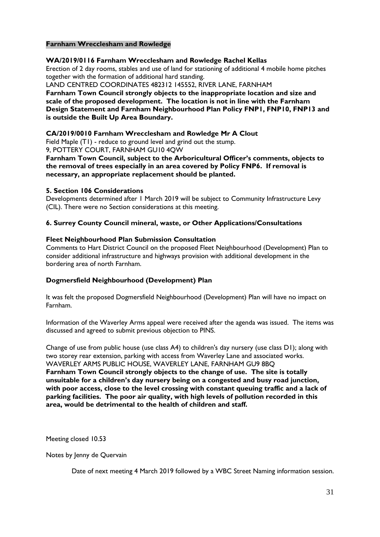#### **Farnham Wrecclesham and Rowledge**

#### **WA/2019/0116 Farnham Wrecclesham and Rowledge Rachel Kellas**

Erection of 2 day rooms, stables and use of land for stationing of additional 4 mobile home pitches together with the formation of additional hard standing.

LAND CENTRED COORDINATES 482312 145552, RIVER LANE, FARNHAM

**Farnham Town Council strongly objects to the inappropriate location and size and scale of the proposed development. The location is not in line with the Farnham Design Statement and Farnham Neighbourhood Plan Policy FNP1, FNP10, FNP13 and is outside the Built Up Area Boundary.**

#### **CA/2019/0010 Farnham Wrecclesham and Rowledge Mr A Clout**

Field Maple (T1) - reduce to ground level and grind out the stump.

9, POTTERY COURT, FARNHAM GU10 4QW

**Farnham Town Council, subject to the Arboricultural Officer's comments, objects to the removal of trees especially in an area covered by Policy FNP6. If removal is necessary, an appropriate replacement should be planted.**

#### **5. Section 106 Considerations**

Developments determined after 1 March 2019 will be subject to Community Infrastructure Levy (CIL). There were no Section considerations at this meeting.

#### **6. Surrey County Council mineral, waste, or Other Applications/Consultations**

#### **Fleet Neighbourhood Plan Submission Consultation**

Comments to Hart District Council on the proposed Fleet Neighbourhood (Development) Plan to consider additional infrastructure and highways provision with additional development in the bordering area of north Farnham.

#### **Dogmersfield Neighbourhood (Development) Plan**

It was felt the proposed Dogmersfield Neighbourhood (Development) Plan will have no impact on Farnham.

Information of the Waverley Arms appeal were received after the agenda was issued. The items was discussed and agreed to submit previous objection to PINS.

Change of use from public house (use class A4) to children's day nursery (use class D1); along with two storey rear extension, parking with access from Waverley Lane and associated works. WAVERLEY ARMS PUBLIC HOUSE, WAVERLEY LANE, FARNHAM GU9 8BQ **Farnham Town Council strongly objects to the change of use. The site is totally unsuitable for a children's day nursery being on a congested and busy road junction, with poor access, close to the level crossing with constant queuing traffic and a lack of parking facilities. The poor air quality, with high levels of pollution recorded in this area, would be detrimental to the health of children and staff.**

Meeting closed 10.53

Notes by Jenny de Quervain

Date of next meeting 4 March 2019 followed by a WBC Street Naming information session.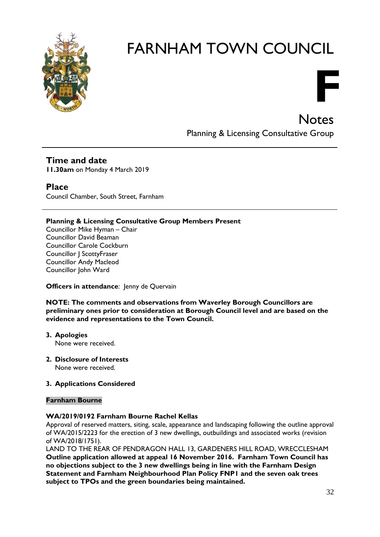

# **F Notes**

Planning & Licensing Consultative Group

# **Time and date**

**11.30am** on Monday 4 March 2019

## **Place**

Council Chamber, South Street, Farnham

#### **Planning & Licensing Consultative Group Members Present**

Councillor Mike Hyman – Chair Councillor David Beaman Councillor Carole Cockburn Councillor J ScottyFraser Councillor Andy Macleod Councillor John Ward

#### **Officers in attendance:** Jenny de Quervain

**NOTE: The comments and observations from Waverley Borough Councillors are preliminary ones prior to consideration at Borough Council level and are based on the evidence and representations to the Town Council.**

- **3. Apologies** None were received.
- **2. Disclosure of Interests**  None were received.

#### **3. Applications Considered**

#### **Farnham Bourne**

#### **WA/2019/0192 Farnham Bourne Rachel Kellas**

Approval of reserved matters, siting, scale, appearance and landscaping following the outline approval of WA/2015/2223 for the erection of 3 new dwellings, outbuildings and associated works (revision of WA/2018/1751).

LAND TO THE REAR OF PENDRAGON HALL 13, GARDENERS HILL ROAD, WRECCLESHAM **Outline application allowed at appeal 16 November 2016. Farnham Town Council has no objections subject to the 3 new dwellings being in line with the Farnham Design Statement and Farnham Neighbourhood Plan Policy FNP1 and the seven oak trees subject to TPOs and the green boundaries being maintained.**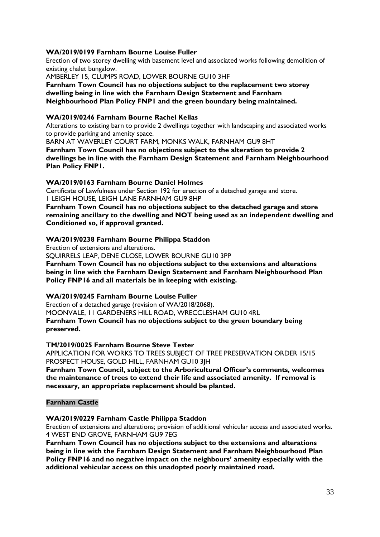#### **WA/2019/0199 Farnham Bourne Louise Fuller**

Erection of two storey dwelling with basement level and associated works following demolition of existing chalet bungalow.

AMBERLEY 15, CLUMPS ROAD, LOWER BOURNE GU10 3HF

**Farnham Town Council has no objections subject to the replacement two storey dwelling being in line with the Farnham Design Statement and Farnham Neighbourhood Plan Policy FNP1 and the green boundary being maintained.**

#### **WA/2019/0246 Farnham Bourne Rachel Kellas**

Alterations to existing barn to provide 2 dwellings together with landscaping and associated works to provide parking and amenity space.

BARN AT WAVERLEY COURT FARM, MONKS WALK, FARNHAM GU9 8HT

**Farnham Town Council has no objections subject to the alteration to provide 2 dwellings be in line with the Farnham Design Statement and Farnham Neighbourhood Plan Policy FNP1.**

#### **WA/2019/0163 Farnham Bourne Daniel Holmes**

Certificate of Lawfulness under Section 192 for erection of a detached garage and store. 1 LEIGH HOUSE, LEIGH LANE FARNHAM GU9 8HP

**Farnham Town Council has no objections subject to the detached garage and store remaining ancillary to the dwelling and NOT being used as an independent dwelling and Conditioned so, if approval granted.**

#### **WA/2019/0238 Farnham Bourne Philippa Staddon**

Erection of extensions and alterations.

SQUIRRELS LEAP, DENE CLOSE, LOWER BOURNE GU10 3PP

**Farnham Town Council has no objections subject to the extensions and alterations being in line with the Farnham Design Statement and Farnham Neighbourhood Plan Policy FNP16 and all materials be in keeping with existing.**

#### **WA/2019/0245 Farnham Bourne Louise Fuller**

Erection of a detached garage (revision of WA/2018/2068).

MOONVALE, 11 GARDENERS HILL ROAD, WRECCLESHAM GU10 4RL **Farnham Town Council has no objections subject to the green boundary being preserved.**

# **TM/2019/0025 Farnham Bourne Steve Tester**

APPLICATION FOR WORKS TO TREES SUBJECT OF TREE PRESERVATION ORDER 15/15 PROSPECT HOUSE, GOLD HILL, FARNHAM GU10 3JH

**Farnham Town Council, subject to the Arboricultural Officer's comments, welcomes the maintenance of trees to extend their life and associated amenity. If removal is necessary, an appropriate replacement should be planted.**

#### **Farnham Castle**

#### **WA/2019/0229 Farnham Castle Philippa Staddon**

Erection of extensions and alterations; provision of additional vehicular access and associated works. 4 WEST END GROVE, FARNHAM GU9 7EG

**Farnham Town Council has no objections subject to the extensions and alterations being in line with the Farnham Design Statement and Farnham Neighbourhood Plan Policy FNP16 and no negative impact on the neighbours' amenity especially with the additional vehicular access on this unadopted poorly maintained road.**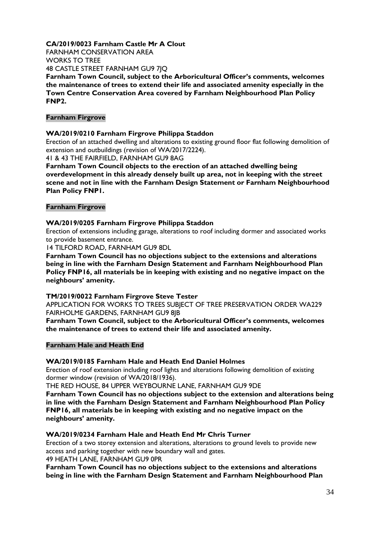#### **CA/2019/0023 Farnham Castle Mr A Clout**

FARNHAM CONSERVATION AREA

WORKS TO TREE

48 CASTLE STREET FARNHAM GU9 7JQ

**Farnham Town Council, subject to the Arboricultural Officer's comments, welcomes the maintenance of trees to extend their life and associated amenity especially in the Town Centre Conservation Area covered by Farnham Neighbourhood Plan Policy FNP2.**

#### **Farnham Firgrove**

#### **WA/2019/0210 Farnham Firgrove Philippa Staddon**

Erection of an attached dwelling and alterations to existing ground floor flat following demolition of extension and outbuildings (revision of WA/2017/2224).

41 & 43 THE FAIRFIELD, FARNHAM GU9 8AG

**Farnham Town Council objects to the erection of an attached dwelling being overdevelopment in this already densely built up area, not in keeping with the street scene and not in line with the Farnham Design Statement or Farnham Neighbourhood Plan Policy FNP1.**

#### **Farnham Firgrove**

#### **WA/2019/0205 Farnham Firgrove Philippa Staddon**

Erection of extensions including garage, alterations to roof including dormer and associated works to provide basement entrance.

14 TILFORD ROAD, FARNHAM GU9 8DL

**Farnham Town Council has no objections subject to the extensions and alterations being in line with the Farnham Design Statement and Farnham Neighbourhood Plan Policy FNP16, all materials be in keeping with existing and no negative impact on the neighbours' amenity.**

#### **TM/2019/0022 Farnham Firgrove Steve Tester**

APPLICATION FOR WORKS TO TREES SUBJECT OF TREE PRESERVATION ORDER WA229 FAIRHOLME GARDENS, FARNHAM GU9 8JB

**Farnham Town Council, subject to the Arboricultural Officer's comments, welcomes the maintenance of trees to extend their life and associated amenity.** 

#### **Farnham Hale and Heath End**

#### **WA/2019/0185 Farnham Hale and Heath End Daniel Holmes**

Erection of roof extension including roof lights and alterations following demolition of existing dormer window (revision of WA/2018/1936).

THE RED HOUSE, 84 UPPER WEYBOURNE LANE, FARNHAM GU9 9DE

**Farnham Town Council has no objections subject to the extension and alterations being in line with the Farnham Design Statement and Farnham Neighbourhood Plan Policy FNP16, all materials be in keeping with existing and no negative impact on the neighbours' amenity.**

#### **WA/2019/0234 Farnham Hale and Heath End Mr Chris Turner**

Erection of a two storey extension and alterations, alterations to ground levels to provide new access and parking together with new boundary wall and gates.

49 HEATH LANE, FARNHAM GU9 0PR

**Farnham Town Council has no objections subject to the extensions and alterations being in line with the Farnham Design Statement and Farnham Neighbourhood Plan**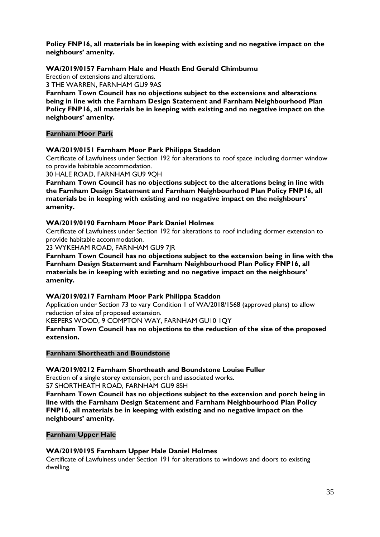**Policy FNP16, all materials be in keeping with existing and no negative impact on the neighbours' amenity.**

#### **WA/2019/0157 Farnham Hale and Heath End Gerald Chimbumu**

Erection of extensions and alterations.

3 THE WARREN, FARNHAM GU9 9AS

**Farnham Town Council has no objections subject to the extensions and alterations being in line with the Farnham Design Statement and Farnham Neighbourhood Plan Policy FNP16, all materials be in keeping with existing and no negative impact on the neighbours' amenity.**

#### **Farnham Moor Park**

#### **WA/2019/0151 Farnham Moor Park Philippa Staddon**

Certificate of Lawfulness under Section 192 for alterations to roof space including dormer window to provide habitable accommodation.

30 HALE ROAD, FARNHAM GU9 9QH

**Farnham Town Council has no objections subject to the alterations being in line with the Farnham Design Statement and Farnham Neighbourhood Plan Policy FNP16, all materials be in keeping with existing and no negative impact on the neighbours' amenity.**

#### **WA/2019/0190 Farnham Moor Park Daniel Holmes**

Certificate of Lawfulness under Section 192 for alterations to roof including dormer extension to provide habitable accommodation.

23 WYKEHAM ROAD, FARNHAM GU9 7JR

**Farnham Town Council has no objections subject to the extension being in line with the Farnham Design Statement and Farnham Neighbourhood Plan Policy FNP16, all materials be in keeping with existing and no negative impact on the neighbours' amenity.**

#### **WA/2019/0217 Farnham Moor Park Philippa Staddon**

Application under Section 73 to vary Condition 1 of WA/2018/1568 (approved plans) to allow reduction of size of proposed extension.

KEEPERS WOOD, 9 COMPTON WAY, FARNHAM GU10 1QY

**Farnham Town Council has no objections to the reduction of the size of the proposed extension.**

#### **Farnham Shortheath and Boundstone**

**WA/2019/0212 Farnham Shortheath and Boundstone Louise Fuller**

Erection of a single storey extension, porch and associated works. 57 SHORTHEATH ROAD, FARNHAM GU9 8SH

**Farnham Town Council has no objections subject to the extension and porch being in line with the Farnham Design Statement and Farnham Neighbourhood Plan Policy FNP16, all materials be in keeping with existing and no negative impact on the neighbours' amenity.**

#### **Farnham Upper Hale**

#### **WA/2019/0195 Farnham Upper Hale Daniel Holmes**

Certificate of Lawfulness under Section 191 for alterations to windows and doors to existing dwelling.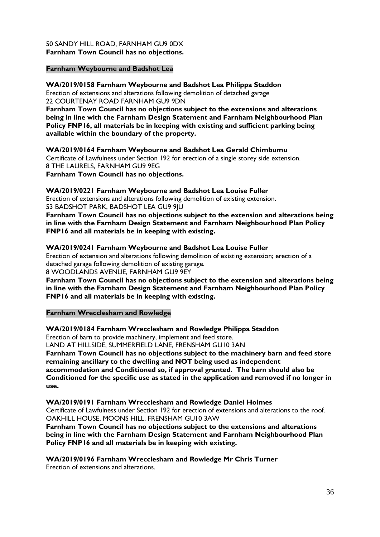#### 50 SANDY HILL ROAD, FARNHAM GU9 0DX **Farnham Town Council has no objections.**

#### **Farnham Weybourne and Badshot Lea**

**WA/2019/0158 Farnham Weybourne and Badshot Lea Philippa Staddon** Erection of extensions and alterations following demolition of detached garage 22 COURTENAY ROAD FARNHAM GU9 9DN

**Farnham Town Council has no objections subject to the extensions and alterations being in line with the Farnham Design Statement and Farnham Neighbourhood Plan Policy FNP16, all materials be in keeping with existing and sufficient parking being available within the boundary of the property.**

**WA/2019/0164 Farnham Weybourne and Badshot Lea Gerald Chimbumu** Certificate of Lawfulness under Section 192 for erection of a single storey side extension. 8 THE LAURELS, FARNHAM GU9 9EG

**Farnham Town Council has no objections.**

**WA/2019/0221 Farnham Weybourne and Badshot Lea Louise Fuller**

Erection of extensions and alterations following demolition of existing extension. 53 BADSHOT PARK, BADSHOT LEA GU9 9JU

**Farnham Town Council has no objections subject to the extension and alterations being in line with the Farnham Design Statement and Farnham Neighbourhood Plan Policy FNP16 and all materials be in keeping with existing.**

#### **WA/2019/0241 Farnham Weybourne and Badshot Lea Louise Fuller**

Erection of extension and alterations following demolition of existing extension; erection of a detached garage following demolition of existing garage.

8 WOODLANDS AVENUE, FARNHAM GU9 9EY

**Farnham Town Council has no objections subject to the extension and alterations being in line with the Farnham Design Statement and Farnham Neighbourhood Plan Policy FNP16 and all materials be in keeping with existing.**

#### **Farnham Wrecclesham and Rowledge**

#### **WA/2019/0184 Farnham Wrecclesham and Rowledge Philippa Staddon**

Erection of barn to provide machinery, implement and feed store.

LAND AT HILLSIDE, SUMMERFIELD LANE, FRENSHAM GU10 3AN

**Farnham Town Council has no objections subject to the machinery barn and feed store remaining ancillary to the dwelling and NOT being used as independent accommodation and Conditioned so, if approval granted. The barn should also be Conditioned for the specific use as stated in the application and removed if no longer in use.**

**WA/2019/0191 Farnham Wrecclesham and Rowledge Daniel Holmes**

Certificate of Lawfulness under Section 192 for erection of extensions and alterations to the roof. OAKHILL HOUSE, MOONS HILL, FRENSHAM GU10 3AW

**Farnham Town Council has no objections subject to the extensions and alterations being in line with the Farnham Design Statement and Farnham Neighbourhood Plan Policy FNP16 and all materials be in keeping with existing.**

**WA/2019/0196 Farnham Wrecclesham and Rowledge Mr Chris Turner**

Erection of extensions and alterations.